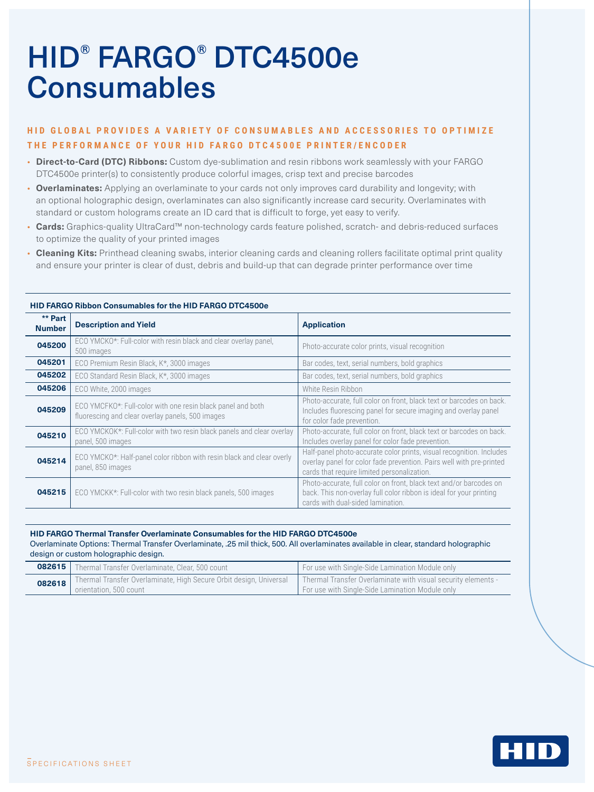# HID® FARGO® DTC4500e **Consumables**

## **HID GLOBAL PROVIDES A VARIETY OF CONSUMABLES AND ACCESSORIES TO OPTIMIZE THE PERFORMANCE OF YOUR HID FARGO DTC4500E PRINTER/ENCODER**

- **Direct-to-Card (DTC) Ribbons:** Custom dye-sublimation and resin ribbons work seamlessly with your FARGO DTC4500e printer(s) to consistently produce colorful images, crisp text and precise barcodes
- **Overlaminates:** Applying an overlaminate to your cards not only improves card durability and longevity; with an optional holographic design, overlaminates can also significantly increase card security. Overlaminates with standard or custom holograms create an ID card that is difficult to forge, yet easy to verify.
- **Cards:** Graphics-quality UltraCard™ non-technology cards feature polished, scratch- and debris-reduced surfaces to optimize the quality of your printed images
- **Cleaning Kits:** Printhead cleaning swabs, interior cleaning cards and cleaning rollers facilitate optimal print quality and ensure your printer is clear of dust, debris and build-up that can degrade printer performance over time

| ** Part<br><b>Number</b> | <b>Description and Yield</b>                                                                                    | <b>Application</b>                                                                                                                                                                          |
|--------------------------|-----------------------------------------------------------------------------------------------------------------|---------------------------------------------------------------------------------------------------------------------------------------------------------------------------------------------|
| 045200                   | ECO YMCKO*: Full-color with resin black and clear overlay panel,<br>500 images                                  | Photo-accurate color prints, visual recognition                                                                                                                                             |
| 045201                   | ECO Premium Resin Black, K*, 3000 images                                                                        | Bar codes, text, serial numbers, bold graphics                                                                                                                                              |
| 045202                   | ECO Standard Resin Black, K <sup>*</sup> , 3000 images                                                          | Bar codes, text, serial numbers, bold graphics                                                                                                                                              |
| 045206                   | ECO White, 2000 images                                                                                          | White Resin Ribbon                                                                                                                                                                          |
| 045209                   | ECO YMCFKO*: Full-color with one resin black panel and both<br>fluorescing and clear overlay panels, 500 images | Photo-accurate, full color on front, black text or barcodes on back.<br>Includes fluorescing panel for secure imaging and overlay panel<br>for color fade prevention.                       |
| 045210                   | ECO YMCKOK*: Full-color with two resin black panels and clear overlay<br>panel, 500 images                      | Photo-accurate, full color on front, black text or barcodes on back.<br>Includes overlay panel for color fade prevention.                                                                   |
| 045214                   | ECO YMCKO*: Half-panel color ribbon with resin black and clear overly<br>panel, 850 images                      | Half-panel photo-accurate color prints, visual recognition. Includes<br>overlay panel for color fade prevention. Pairs well with pre-printed<br>cards that require limited personalization. |
| 045215                   | ECO YMCKK*: Full-color with two resin black panels, 500 images                                                  | Photo-accurate, full color on front, black text and/or barcodes on<br>back. This non-overlay full color ribbon is ideal for your printing<br>cards with dual-sided lamination.              |

### **HID FARGO Ribbon Consumables for the HID FARGO DTC4500e**

**HID FARGO Thermal Transfer Overlaminate Consumables for the HID FARGO DTC4500e** Overlaminate Options: Thermal Transfer Overlaminate, .25 mil thick, 500. All overlaminates available in clear, standard holographic design or custom holographic design.

| 082615 | Thermal Transfer Overlaminate, Clear, 500 count                                                       | For use with Single-Side Lamination Module only                                                                  |
|--------|-------------------------------------------------------------------------------------------------------|------------------------------------------------------------------------------------------------------------------|
|        | 082618   Thermal Transfer Overlaminate, High Secure Orbit design, Universal<br>orientation, 500 count | Thermal Transfer Overlaminate with visual security elements -<br>For use with Single-Side Lamination Module only |